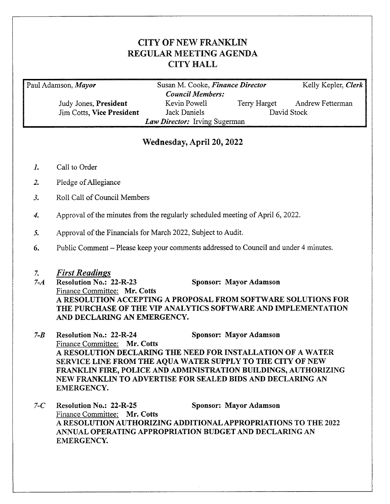# **CITY OF NEW FRANKLIN REGULAR MEETING AGENDA CITY HALL**

Paul Adamson, Mayor

Judy Jones, President **Jim Cotts, Vice President** 

Susan M. Cooke, Finance Director **Council Members:** Kevin Powell Terry Harget David Stock Jack Daniels Law Director: Irving Sugerman

**Andrew Fetterman** 

Kelly Kepler, Clerk

# Wednesday, April 20, 2022

- $\mathbf{I}$ . Call to Order
- $2.$ Pledge of Allegiance
- Roll Call of Council Members  $3.$
- Approval of the minutes from the regularly scheduled meeting of April 6, 2022.  $\overline{4}$ .
- Approval of the Financials for March 2022, Subject to Audit. 5.
- Public Comment Please keep your comments addressed to Council and under 4 minutes. 6.
- **First Readings**  $7.$

 $7 - 4$ **Resolution No.: 22-R-23** Sponsor: Mayor Adamson Finance Committee: Mr. Cotts A RESOLUTION ACCEPTING A PROPOSAL FROM SOFTWARE SOLUTIONS FOR THE PURCHASE OF THE VIP ANALYTICS SOFTWARE AND IMPLEMENTATION AND DECLARING AN EMERGENCY.

- $7 B$ **Resolution No.: 22-R-24** Sponsor: Mayor Adamson Finance Committee: Mr. Cotts A RESOLUTION DECLARING THE NEED FOR INSTALLATION OF A WATER SERVICE LINE FROM THE AQUA WATER SUPPLY TO THE CITY OF NEW FRANKLIN FIRE, POLICE AND ADMINISTRATION BUILDINGS, AUTHORIZING NEW FRANKLIN TO ADVERTISE FOR SEALED BIDS AND DECLARING AN **EMERGENCY.**
- $7-C$ **Resolution No.: 22-R-25** Sponsor: Mayor Adamson Finance Committee: Mr. Cotts A RESOLUTION AUTHORIZING ADDITIONAL APPROPRIATIONS TO THE 2022 ANNUAL OPERATING APPROPRIATION BUDGET AND DECLARING AN **EMERGENCY.**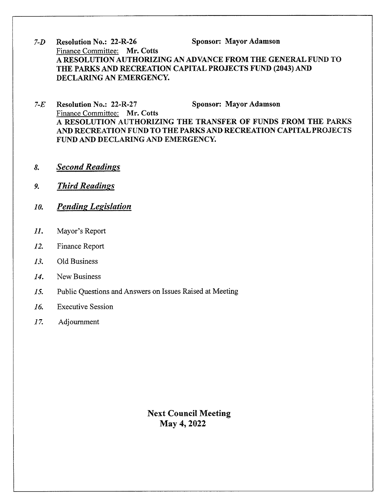- Sponsor: Mayor Adamson  $7 - D$ **Resolution No.: 22-R-26** Finance Committee: Mr. Cotts A RESOLUTION AUTHORIZING AN ADVANCE FROM THE GENERAL FUND TO THE PARKS AND RECREATION CAPITAL PROJECTS FUND (2043) AND DECLARING AN EMERGENCY.
- Sponsor: Mayor Adamson  $7-E$ **Resolution No.: 22-R-27** Finance Committee: Mr. Cotts A RESOLUTION AUTHORIZING THE TRANSFER OF FUNDS FROM THE PARKS AND RECREATION FUND TO THE PARKS AND RECREATION CAPITAL PROJECTS FUND AND DECLARING AND EMERGENCY.
- **Second Readings** 8.
- **Third Readings**  $9<sub>1</sub>$
- **Pending Legislation** 10.
- Mayor's Report  $II.$
- 12. Finance Report
- $13.$ Old Business
- New Business 14.
- 15. Public Questions and Answers on Issues Raised at Meeting
- **Executive Session** 16.
- 17. Adjournment

**Next Council Meeting** May 4, 2022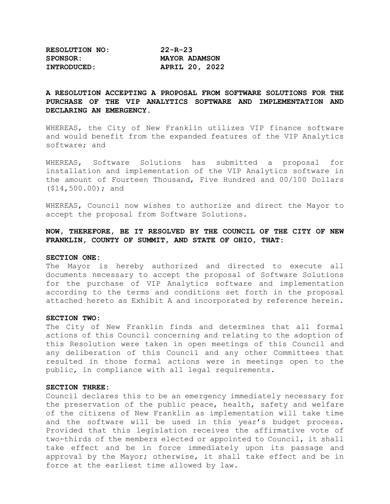| <b>RESOLUTION NO:</b> | $22 - R - 23$        |
|-----------------------|----------------------|
| <b>SPONSOR:</b>       | <b>MAYOR ADAMSON</b> |
| INTRODUCED:           | APRIL 20, 2022       |

# **A RESOLUTION ACCEPTING A PROPOSAL FROM SOFTWARE SOLUTIONS FOR THE PURCHASE OF THE VIP ANALYTICS SOFTWARE AND IMPLEMENTATION AND DECLARING AN EMERGENCY.**

WHEREAS, the City of New Franklin utilizes VIP finance software and would benefit from the expanded features of the VIP Analytics software; and

WHEREAS, Software Solutions has submitted a proposal for installation and implementation of the VIP Analytics software in the amount of Fourteen Thousand, Five Hundred and 00/100 Dollars (\$14,500.00); and

WHEREAS, Council now wishes to authorize and direct the Mayor to accept the proposal from Software Solutions.

# **NOW, THEREFORE, BE IT RESOLVED BY THE COUNCIL OF THE CITY OF NEW FRANKLIN, COUNTY OF SUMMIT, AND STATE OF OHIO, THAT**:

#### **SECTION ONE:**

The Mayor is hereby authorized and directed to execute all documents necessary to accept the proposal of Software Solutions for the purchase of VIP Analytics software and implementation according to the terms and conditions set forth in the proposal attached hereto as Exhibit A and incorporated by reference herein.

#### **SECTION TWO:**

The City of New Franklin finds and determines that all formal actions of this Council concerning and relating to the adoption of this Resolution were taken in open meetings of this Council and any deliberation of this Council and any other Committees that resulted in those formal actions were in meetings open to the public, in compliance with all legal requirements.

#### **SECTION THREE:**

Council declares this to be an emergency immediately necessary for the preservation of the public peace, health, safety and welfare of the citizens of New Franklin as implementation will take time and the software will be used in this year's budget process. Provided that this legislation receives the affirmative vote of two-thirds of the members elected or appointed to Council, it shall take effect and be in force immediately upon its passage and approval by the Mayor; otherwise, it shall take effect and be in force at the earliest time allowed by law.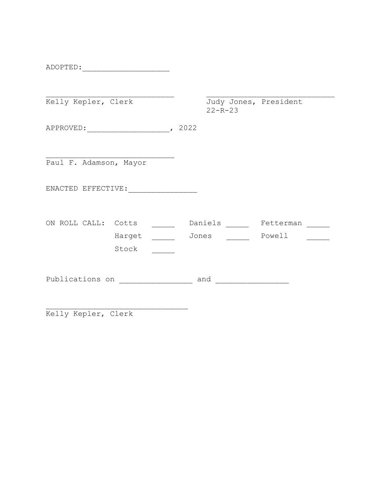ADOPTED:\_\_\_\_\_\_\_\_\_\_\_\_\_\_\_\_\_\_\_

| Kelly Kepler, Clerk                |        |       | $22 - R - 23$ | Judy Jones, President |  |
|------------------------------------|--------|-------|---------------|-----------------------|--|
|                                    |        |       |               |                       |  |
| Paul F. Adamson, Mayor             |        |       |               |                       |  |
|                                    |        |       |               |                       |  |
| ON ROLL CALL: Cotts                | Harget | Jones | Daniels       | Fetterman<br>Powell   |  |
|                                    | Stock  |       |               |                       |  |
| Publications on <b>Figure 2013</b> |        |       | and           |                       |  |
|                                    |        |       |               |                       |  |

Kelly Kepler, Clerk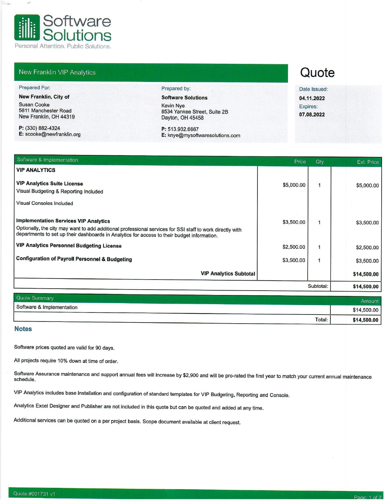

# New Franklin VIP Analytics

#### Prepared For:

 $\omega^{\mu}$ 

New Franklin, City of

**Susan Cooke** 5611 Manchester Road New Franklin, OH 44319

P: (330) 882-4324 E: scooke@newfranklin.org Prepared by:

**Software Solutions Kevin Nye** 8534 Yankee Street, Suite 2B Dayton, OH 45458

#### P: 513.932.6667 E: knye@mysoftwaresolutions.com

# Quote

Date Issued: 04.11.2022 Expires: 07.08.2022

| \$5,000.00  |
|-------------|
|             |
| \$3,500.00  |
| \$2,500.00  |
| \$3,500.00  |
| \$14,500.00 |
| \$14,500.00 |
|             |

| Quote Summary             |        | Amount      |
|---------------------------|--------|-------------|
| Software & Implementation |        | \$14,500.00 |
|                           | Total: | \$14,500.00 |

# **Notes**

Software prices quoted are valid for 90 days.

All projects require 10% down at time of order.

Software Assurance maintenance and support annual fees will increase by \$2,900 and will be pro-rated the first year to match your current annual maintenance schedule.

VIP Analytics includes base installation and configuration of standard templates for VIP Budgeting, Reporting and Console.

Analytics Excel Designer and Publisher are not included in this quote but can be quoted and added at any time.

Additional services can be quoted on a per project basis. Scope document available at client request.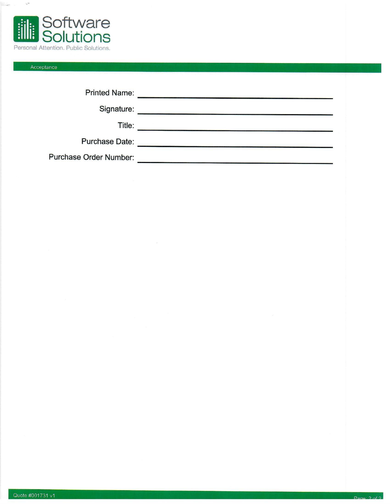

# Acceptance

 $\mathcal{L}^{\text{eq}}$ 

| <b>Printed Name:</b>   |  |
|------------------------|--|
| Signature:             |  |
| Title:                 |  |
| <b>Purchase Date:</b>  |  |
| Purchase Order Number: |  |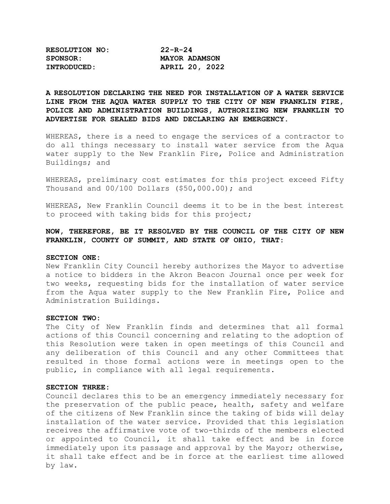| <b>RESOLUTION NO:</b> | $22 - R - 24$        |  |  |
|-----------------------|----------------------|--|--|
| SPONSOR:              | <b>MAYOR ADAMSON</b> |  |  |
| INTRODUCED:           | APRIL 20, 2022       |  |  |

# **A RESOLUTION DECLARING THE NEED FOR INSTALLATION OF A WATER SERVICE LINE FROM THE AQUA WATER SUPPLY TO THE CITY OF NEW FRANKLIN FIRE, POLICE AND ADMINISTRATION BUILDINGS, AUTHORIZING NEW FRANKLIN TO ADVERTISE FOR SEALED BIDS AND DECLARING AN EMERGENCY.**

WHEREAS, there is a need to engage the services of a contractor to do all things necessary to install water service from the Aqua water supply to the New Franklin Fire, Police and Administration Buildings; and

WHEREAS, preliminary cost estimates for this project exceed Fifty Thousand and 00/100 Dollars (\$50,000.00); and

WHEREAS, New Franklin Council deems it to be in the best interest to proceed with taking bids for this project;

# **NOW, THEREFORE, BE IT RESOLVED BY THE COUNCIL OF THE CITY OF NEW FRANKLIN, COUNTY OF SUMMIT, AND STATE OF OHIO, THAT**:

#### **SECTION ONE:**

New Franklin City Council hereby authorizes the Mayor to advertise a notice to bidders in the Akron Beacon Journal once per week for two weeks, requesting bids for the installation of water service from the Aqua water supply to the New Franklin Fire, Police and Administration Buildings.

## **SECTION TWO:**

The City of New Franklin finds and determines that all formal actions of this Council concerning and relating to the adoption of this Resolution were taken in open meetings of this Council and any deliberation of this Council and any other Committees that resulted in those formal actions were in meetings open to the public, in compliance with all legal requirements.

#### **SECTION THREE:**

Council declares this to be an emergency immediately necessary for the preservation of the public peace, health, safety and welfare of the citizens of New Franklin since the taking of bids will delay installation of the water service. Provided that this legislation receives the affirmative vote of two-thirds of the members elected or appointed to Council, it shall take effect and be in force immediately upon its passage and approval by the Mayor; otherwise, it shall take effect and be in force at the earliest time allowed by law.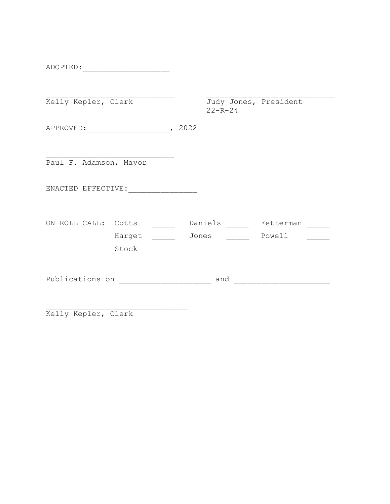ADOPTED:\_\_\_\_\_\_\_\_\_\_\_\_\_\_\_\_\_\_\_

| Kelly Kepler, Clerk           |       | Judy Jones, President<br>$22 - R - 24$ |                     |  |
|-------------------------------|-------|----------------------------------------|---------------------|--|
|                               |       |                                        |                     |  |
| Paul F. Adamson, Mayor        |       |                                        |                     |  |
|                               |       |                                        |                     |  |
| ON ROLL CALL: Cotts<br>Harget | Jones | Daniels                                | Fetterman<br>Powell |  |
| Stock<br>Publications on      |       | and                                    |                     |  |
|                               |       |                                        |                     |  |

\_\_\_\_\_\_\_\_\_\_\_\_\_\_\_\_\_\_\_\_\_\_\_\_\_\_\_\_\_\_\_ Kelly Kepler, Clerk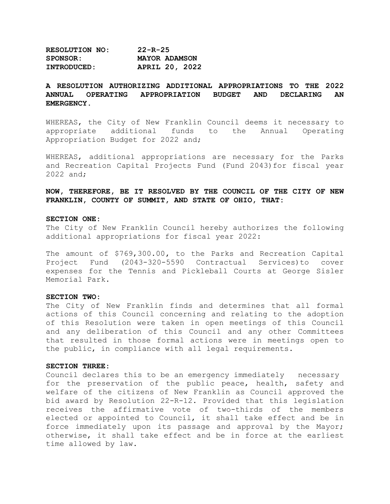**RESOLUTION NO: 22-R-25 SPONSOR: MAYOR ADAMSON INTRODUCED: APRIL 20, 2022**

# **A RESOLUTION AUTHORIZING ADDITIONAL APPROPRIATIONS TO THE 2022 OPERATING APPROPRIATION BUDGET EMERGENCY.**

WHEREAS, the City of New Franklin Council deems it necessary to<br>appropriate additional funds to the Annual Operating additional funds to the Annual Operating Appropriation Budget for 2022 and;

WHEREAS, additional appropriations are necessary for the Parks and Recreation Capital Projects Fund (Fund 2043)for fiscal year 2022 and;

**NOW, THEREFORE, BE IT RESOLVED BY THE COUNCIL OF THE CITY OF NEW FRANKLIN, COUNTY OF SUMMIT, AND STATE OF OHIO, THAT:**

#### **SECTION ONE:**

The City of New Franklin Council hereby authorizes the following additional appropriations for fiscal year 2022:

The amount of \$769,300.00**,** to the Parks and Recreation Capital Project Fund (2043-320-5590 Contractual Services)to cover expenses for the Tennis and Pickleball Courts at George Sisler Memorial Park.

#### **SECTION TWO:**

The City of New Franklin finds and determines that all formal actions of this Council concerning and relating to the adoption of this Resolution were taken in open meetings of this Council and any deliberation of this Council and any other Committees that resulted in those formal actions were in meetings open to the public, in compliance with all legal requirements.

#### **SECTION THREE:**

Council declares this to be an emergency immediately necessary for the preservation of the public peace, health, safety and welfare of the citizens of New Franklin as Council approved the bid award by Resolution 22-R-12. Provided that this legislation receives the affirmative vote of two-thirds of the members elected or appointed to Council, it shall take effect and be in force immediately upon its passage and approval by the Mayor; otherwise, it shall take effect and be in force at the earliest time allowed by law.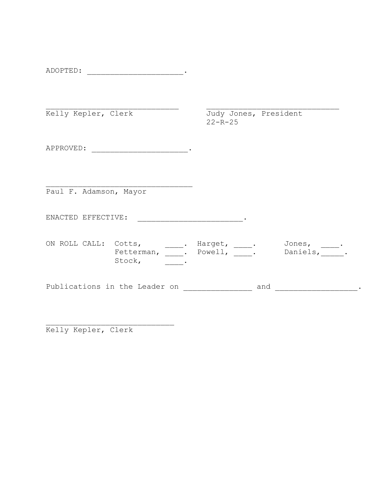| ADOPTED:<br>$\sim$ $\sim$ |  |
|---------------------------|--|
|                           |  |

| Kelly Kepler, Clerk    |                                                                       | Judy Jones, President<br>$22 - R - 25$ |                      |
|------------------------|-----------------------------------------------------------------------|----------------------------------------|----------------------|
| APPROVED:              |                                                                       |                                        |                      |
| Paul F. Adamson, Mayor |                                                                       |                                        |                      |
| ENACTED EFFECTIVE:     |                                                                       |                                        |                      |
| ON ROLL CALL: Cotts,   | <u>and the state of the state</u><br>Fetterman, . Powell, .<br>Stock, | Harget, .                              | Jones, .<br>Daniels, |

\_\_\_\_\_\_\_\_\_\_\_\_\_\_\_\_\_\_\_\_\_\_\_\_\_\_\_\_ Kelly Kepler, Clerk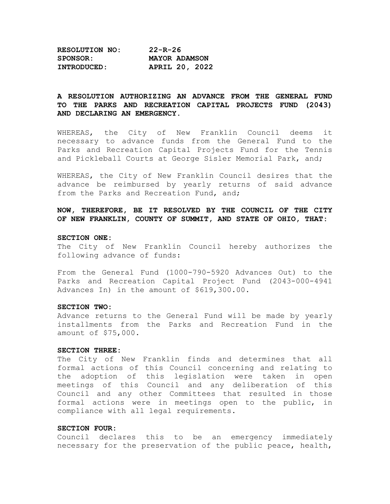| <b>RESOLUTION NO:</b> | $22 - R - 26$        |  |  |
|-----------------------|----------------------|--|--|
| <b>SPONSOR:</b>       | <b>MAYOR ADAMSON</b> |  |  |
| <b>INTRODUCED:</b>    | APRIL 20, 2022       |  |  |

# **A RESOLUTION AUTHORIZING AN ADVANCE FROM THE GENERAL FUND TO THE PARKS AND RECREATION CAPITAL PROJECTS FUND (2043) AND DECLARING AN EMERGENCY.**

WHEREAS, the City of New Franklin Council deems it necessary to advance funds from the General Fund to the Parks and Recreation Capital Projects Fund for the Tennis and Pickleball Courts at George Sisler Memorial Park, and;

WHEREAS, the City of New Franklin Council desires that the advance be reimbursed by yearly returns of said advance from the Parks and Recreation Fund, and;

**NOW, THEREFORE, BE IT RESOLVED BY THE COUNCIL OF THE CITY OF NEW FRANKLIN, COUNTY OF SUMMIT, AND STATE OF OHIO, THAT:**

## **SECTION ONE:**

The City of New Franklin Council hereby authorizes the following advance of funds:

From the General Fund (1000-790-5920 Advances Out) to the Parks and Recreation Capital Project Fund (2043-000-4941 Advances In) in the amount of \$619,300.00.

#### **SECTION TWO:**

Advance returns to the General Fund will be made by yearly installments from the Parks and Recreation Fund in the amount of \$75,000.

## **SECTION THREE:**

The City of New Franklin finds and determines that all formal actions of this Council concerning and relating to the adoption of this legislation were taken in open meetings of this Council and any deliberation of this Council and any other Committees that resulted in those formal actions were in meetings open to the public, in compliance with all legal requirements.

#### **SECTION FOUR:**

Council declares this to be an emergency immediately necessary for the preservation of the public peace, health,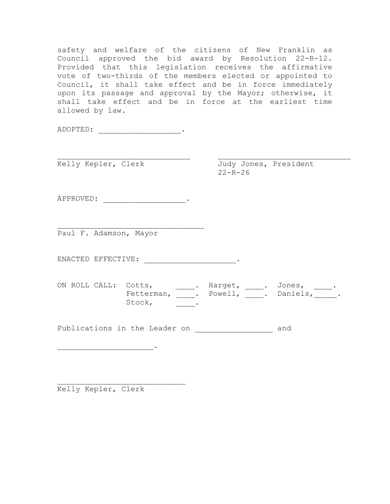safety and welfare of the citizens of New Franklin as Council approved the bid award by Resolution 22-R-12. Provided that this legislation receives the affirmative vote of two-thirds of the members elected or appointed to Council, it shall take effect and be in force immediately upon its passage and approval by the Mayor; otherwise, it shall take effect and be in force at the earliest time allowed by law.

ADOPTED: \_\_\_\_\_\_\_\_\_\_\_\_\_\_\_\_\_\_.

\_\_\_\_\_\_\_\_\_\_\_\_\_\_\_\_\_\_\_\_\_\_\_\_\_\_\_\_\_ \_\_\_\_\_\_\_\_\_\_\_\_\_\_\_\_\_\_\_\_\_\_\_\_\_\_\_\_\_ Kelly Kepler, Clerk Judy Jones, President

 $22 - R - 26$ 

APPROVED: \_\_\_\_\_\_\_\_\_\_\_\_\_\_\_\_\_\_.

\_\_\_\_\_\_\_\_\_\_\_\_\_\_\_\_\_\_\_\_\_\_\_\_\_\_\_\_\_\_\_\_ Paul F. Adamson, Mayor

ENACTED EFFECTIVE: \_\_\_\_\_\_\_\_\_\_\_\_\_\_\_\_\_\_\_\_.

ON ROLL CALL: Cotts, \_\_\_\_\_. Harget, \_\_\_\_. Jones, \_\_\_\_. Fetterman, \_\_\_\_. Powell, \_\_\_\_. Daniels, \_\_\_\_\_. Stock,  $\qquad \qquad \boxed{\qquad \qquad}$ .

Publications in the Leader on \_\_\_\_\_\_\_\_\_\_\_\_\_\_\_\_\_\_\_ and

\_\_\_\_\_\_\_\_\_\_\_\_\_\_\_\_\_\_\_\_\_\_\_\_\_\_\_\_ Kelly Kepler, Clerk

 $\frac{1}{2}$  ,  $\frac{1}{2}$  ,  $\frac{1}{2}$  ,  $\frac{1}{2}$  ,  $\frac{1}{2}$  ,  $\frac{1}{2}$  ,  $\frac{1}{2}$  ,  $\frac{1}{2}$  ,  $\frac{1}{2}$  ,  $\frac{1}{2}$  ,  $\frac{1}{2}$  ,  $\frac{1}{2}$  ,  $\frac{1}{2}$  ,  $\frac{1}{2}$  ,  $\frac{1}{2}$  ,  $\frac{1}{2}$  ,  $\frac{1}{2}$  ,  $\frac{1}{2}$  ,  $\frac{1$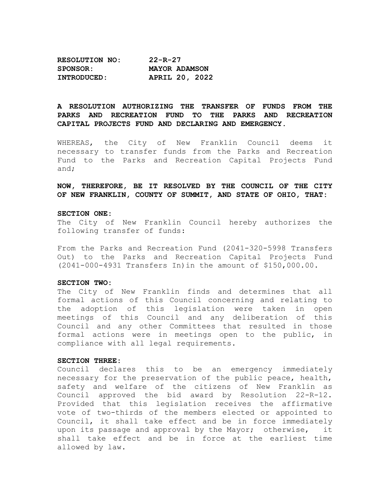| <b>RESOLUTION NO:</b> | $22 - R - 27$         |  |  |
|-----------------------|-----------------------|--|--|
| <b>SPONSOR:</b>       | <b>MAYOR ADAMSON</b>  |  |  |
| INTRODUCED:           | <b>APRIL 20, 2022</b> |  |  |

# **A RESOLUTION AUTHORIZING THE TRANSFER OF FUNDS FROM THE PARKS AND RECREATION FUND TO THE PARKS AND RECREATION CAPITAL PROJECTS FUND AND DECLARING AND EMERGENCY.**

WHEREAS, the City of New Franklin Council deems it necessary to transfer funds from the Parks and Recreation Fund to the Parks and Recreation Capital Projects Fund and;

**NOW, THEREFORE, BE IT RESOLVED BY THE COUNCIL OF THE CITY OF NEW FRANKLIN, COUNTY OF SUMMIT, AND STATE OF OHIO, THAT:**

#### **SECTION ONE:**

The City of New Franklin Council hereby authorizes the following transfer of funds:

From the Parks and Recreation Fund (2041-320-5998 Transfers Out) to the Parks and Recreation Capital Projects Fund (2041-000-4931 Transfers In)in the amount of \$150,000.00.

#### **SECTION TWO:**

The City of New Franklin finds and determines that all formal actions of this Council concerning and relating to the adoption of this legislation were taken in open meetings of this Council and any deliberation of this Council and any other Committees that resulted in those formal actions were in meetings open to the public, in compliance with all legal requirements.

#### **SECTION THREE:**

Council declares this to be an emergency immediately necessary for the preservation of the public peace, health, safety and welfare of the citizens of New Franklin as Council approved the bid award by Resolution 22-R-12. Provided that this legislation receives the affirmative vote of two-thirds of the members elected or appointed to Council, it shall take effect and be in force immediately<br>upon its passage and approval by the Mayor; otherwise, it upon its passage and approval by the Mayor; otherwise, shall take effect and be in force at the earliest time allowed by law.